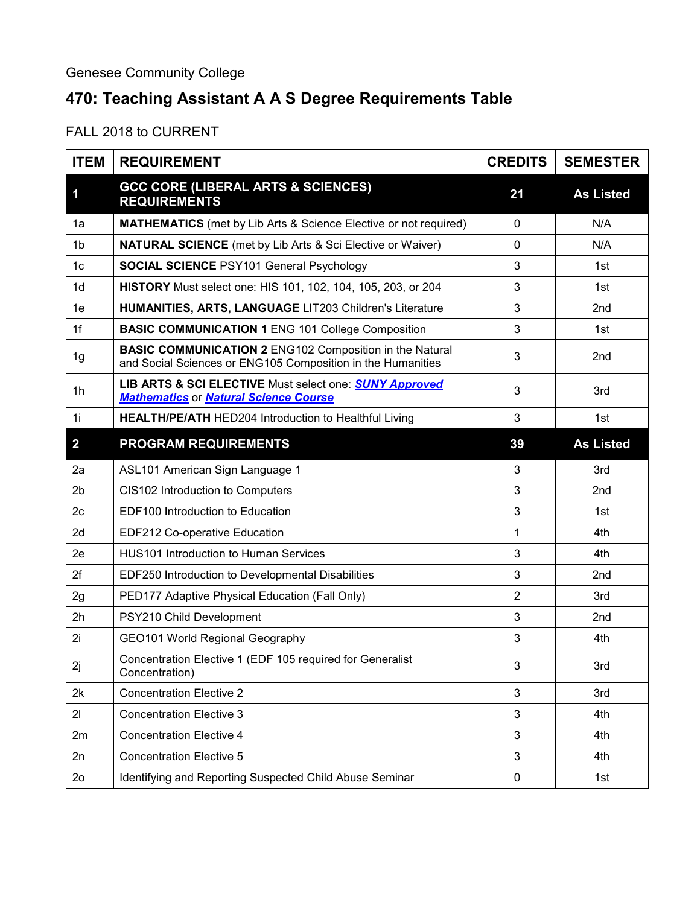## **470: Teaching Assistant A A S Degree Requirements Table**

FALL 2018 to CURRENT

| <b>ITEM</b>    | <b>REQUIREMENT</b>                                                                                                            | <b>CREDITS</b> | <b>SEMESTER</b>  |
|----------------|-------------------------------------------------------------------------------------------------------------------------------|----------------|------------------|
| 1              | <b>GCC CORE (LIBERAL ARTS &amp; SCIENCES)</b><br><b>REQUIREMENTS</b>                                                          | 21             | <b>As Listed</b> |
| 1a             | <b>MATHEMATICS</b> (met by Lib Arts & Science Elective or not required)                                                       | $\mathbf 0$    | N/A              |
| 1 <sub>b</sub> | <b>NATURAL SCIENCE</b> (met by Lib Arts & Sci Elective or Waiver)                                                             | $\mathbf 0$    | N/A              |
| 1 <sub>c</sub> | <b>SOCIAL SCIENCE PSY101 General Psychology</b>                                                                               | 3              | 1st              |
| 1 <sub>d</sub> | HISTORY Must select one: HIS 101, 102, 104, 105, 203, or 204                                                                  | 3              | 1st              |
| 1e             | HUMANITIES, ARTS, LANGUAGE LIT203 Children's Literature                                                                       | 3              | 2 <sub>nd</sub>  |
| 1f             | <b>BASIC COMMUNICATION 1 ENG 101 College Composition</b>                                                                      | 3              | 1st              |
| 1 <sub>g</sub> | <b>BASIC COMMUNICATION 2 ENG102 Composition in the Natural</b><br>and Social Sciences or ENG105 Composition in the Humanities | 3              | 2nd              |
| 1h             | LIB ARTS & SCI ELECTIVE Must select one: <b>SUNY Approved</b><br><b>Mathematics or Natural Science Course</b>                 | 3              | 3rd              |
| 1i             | <b>HEALTH/PE/ATH HED204 Introduction to Healthful Living</b>                                                                  | 3              | 1st              |
| $\overline{2}$ | <b>PROGRAM REQUIREMENTS</b>                                                                                                   | 39             | <b>As Listed</b> |
| 2a             | ASL101 American Sign Language 1                                                                                               | 3              | 3rd              |
| 2 <sub>b</sub> | CIS102 Introduction to Computers                                                                                              | 3              | 2nd              |
| 2c             | EDF100 Introduction to Education                                                                                              | 3              | 1st              |
| 2d             | EDF212 Co-operative Education                                                                                                 | 1              | 4th              |
| 2e             | <b>HUS101 Introduction to Human Services</b>                                                                                  | 3              | 4th              |
| 2f             | EDF250 Introduction to Developmental Disabilities                                                                             | 3              | 2nd              |
| 2g             | PED177 Adaptive Physical Education (Fall Only)                                                                                | $\overline{2}$ | 3rd              |
| 2h             | PSY210 Child Development                                                                                                      | 3              | 2 <sub>nd</sub>  |
| 2i             | GEO101 World Regional Geography                                                                                               | 3              | 4th              |
| 2j             | Concentration Elective 1 (EDF 105 required for Generalist<br>Concentration)                                                   | 3              | 3rd              |
| 2k             | <b>Concentration Elective 2</b>                                                                                               | 3              | 3rd              |
| 21             | <b>Concentration Elective 3</b>                                                                                               | 3              | 4th              |
| 2m             | <b>Concentration Elective 4</b>                                                                                               | 3              | 4th              |
| 2n             | <b>Concentration Elective 5</b>                                                                                               | 3              | 4th              |
| 2 <sub>o</sub> | Identifying and Reporting Suspected Child Abuse Seminar                                                                       | $\pmb{0}$      | 1st              |